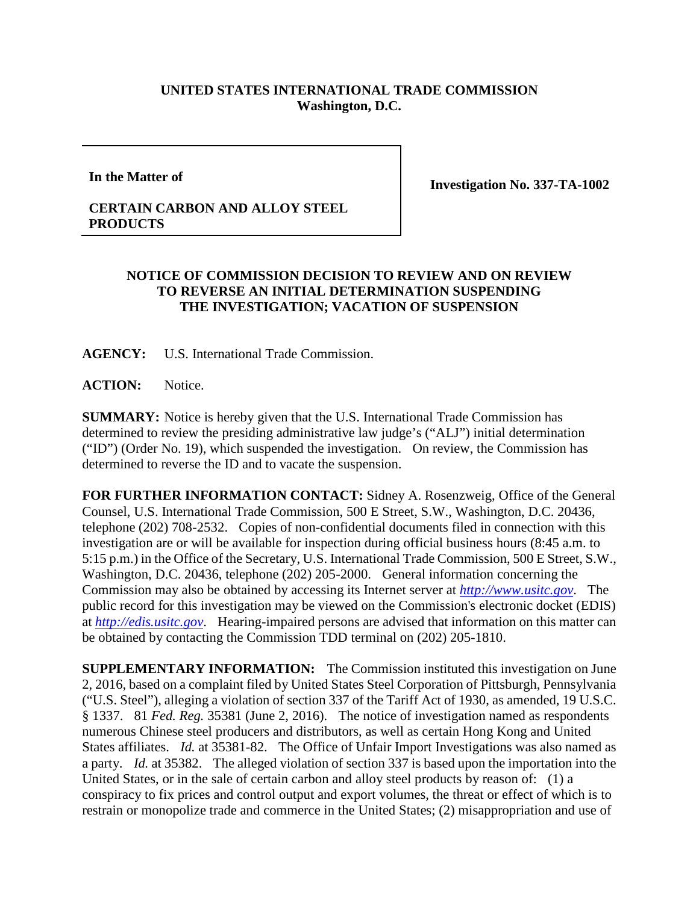## **UNITED STATES INTERNATIONAL TRADE COMMISSION Washington, D.C.**

**In the Matter of**

**Investigation No. 337-TA-1002**

## **CERTAIN CARBON AND ALLOY STEEL PRODUCTS**

## **NOTICE OF COMMISSION DECISION TO REVIEW AND ON REVIEW TO REVERSE AN INITIAL DETERMINATION SUSPENDING THE INVESTIGATION; VACATION OF SUSPENSION**

**AGENCY:** U.S. International Trade Commission.

**ACTION:** Notice.

**SUMMARY:** Notice is hereby given that the U.S. International Trade Commission has determined to review the presiding administrative law judge's ("ALJ") initial determination ("ID") (Order No. 19), which suspended the investigation. On review, the Commission has determined to reverse the ID and to vacate the suspension.

**FOR FURTHER INFORMATION CONTACT:** Sidney A. Rosenzweig, Office of the General Counsel, U.S. International Trade Commission, 500 E Street, S.W., Washington, D.C. 20436, telephone (202) 708-2532. Copies of non-confidential documents filed in connection with this investigation are or will be available for inspection during official business hours (8:45 a.m. to 5:15 p.m.) in the Office of the Secretary, U.S. International Trade Commission, 500 E Street, S.W., Washington, D.C. 20436, telephone (202) 205-2000. General information concerning the Commission may also be obtained by accessing its Internet server at *[http://www.usitc.gov](http://www.usitc.gov/)*. The public record for this investigation may be viewed on the Commission's electronic docket (EDIS) at *[http://edis.usitc.gov](http://edis.usitc.gov/)*. Hearing-impaired persons are advised that information on this matter can be obtained by contacting the Commission TDD terminal on (202) 205-1810.

**SUPPLEMENTARY INFORMATION:** The Commission instituted this investigation on June 2, 2016, based on a complaint filed by United States Steel Corporation of Pittsburgh, Pennsylvania ("U.S. Steel"), alleging a violation of section 337 of the Tariff Act of 1930, as amended, 19 U.S.C. § 1337. 81 *Fed. Reg.* 35381 (June 2, 2016). The notice of investigation named as respondents numerous Chinese steel producers and distributors, as well as certain Hong Kong and United States affiliates. *Id.* at 35381-82. The Office of Unfair Import Investigations was also named as a party. *Id.* at 35382. The alleged violation of section 337 is based upon the importation into the United States, or in the sale of certain carbon and alloy steel products by reason of: (1) a conspiracy to fix prices and control output and export volumes, the threat or effect of which is to restrain or monopolize trade and commerce in the United States; (2) misappropriation and use of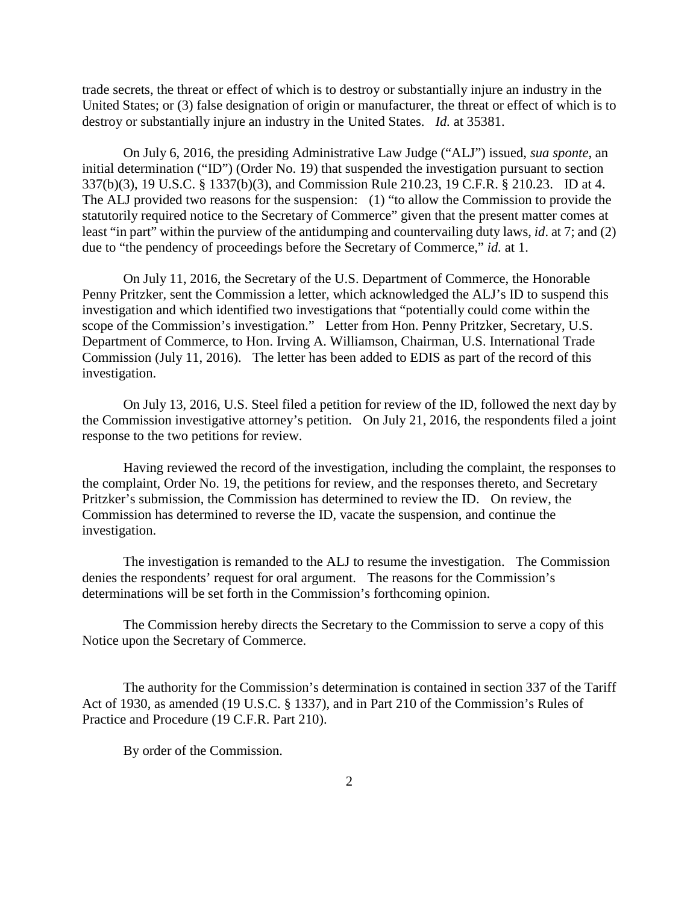trade secrets, the threat or effect of which is to destroy or substantially injure an industry in the United States; or (3) false designation of origin or manufacturer, the threat or effect of which is to destroy or substantially injure an industry in the United States. *Id.* at 35381.

On July 6, 2016, the presiding Administrative Law Judge ("ALJ") issued, *sua sponte*, an initial determination ("ID") (Order No. 19) that suspended the investigation pursuant to section 337(b)(3), 19 U.S.C. § 1337(b)(3), and Commission Rule 210.23, 19 C.F.R. § 210.23. ID at 4. The ALJ provided two reasons for the suspension: (1) "to allow the Commission to provide the statutorily required notice to the Secretary of Commerce" given that the present matter comes at least "in part" within the purview of the antidumping and countervailing duty laws, *id*. at 7; and (2) due to "the pendency of proceedings before the Secretary of Commerce," *id.* at 1.

On July 11, 2016, the Secretary of the U.S. Department of Commerce, the Honorable Penny Pritzker, sent the Commission a letter, which acknowledged the ALJ's ID to suspend this investigation and which identified two investigations that "potentially could come within the scope of the Commission's investigation." Letter from Hon. Penny Pritzker, Secretary, U.S. Department of Commerce, to Hon. Irving A. Williamson, Chairman, U.S. International Trade Commission (July 11, 2016). The letter has been added to EDIS as part of the record of this investigation.

On July 13, 2016, U.S. Steel filed a petition for review of the ID, followed the next day by the Commission investigative attorney's petition. On July 21, 2016, the respondents filed a joint response to the two petitions for review.

Having reviewed the record of the investigation, including the complaint, the responses to the complaint, Order No. 19, the petitions for review, and the responses thereto, and Secretary Pritzker's submission, the Commission has determined to review the ID. On review, the Commission has determined to reverse the ID, vacate the suspension, and continue the investigation.

The investigation is remanded to the ALJ to resume the investigation. The Commission denies the respondents' request for oral argument. The reasons for the Commission's determinations will be set forth in the Commission's forthcoming opinion.

The Commission hereby directs the Secretary to the Commission to serve a copy of this Notice upon the Secretary of Commerce.

The authority for the Commission's determination is contained in section 337 of the Tariff Act of 1930, as amended (19 U.S.C. § 1337), and in Part 210 of the Commission's Rules of Practice and Procedure (19 C.F.R. Part 210).

By order of the Commission.